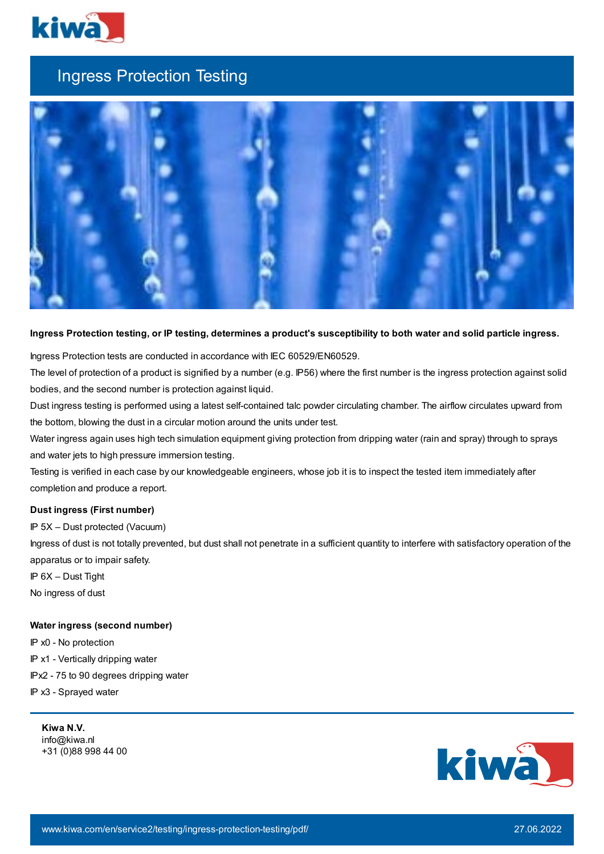

## Ingress Protection Testing



## Ingress Protection testing, or IP testing, determines a product's susceptibility to both water and solid particle ingress.

Ingress Protection tests are conducted in accordance with IEC 60529/EN60529.

The level of protection of a product is signified by a number (e.g. IP56) where the first number is the ingress protection against solid bodies, and the second number is protection against liquid.

Dust ingress testing is performed using a latest self-contained talc powder circulating chamber. The airflow circulates upward from the bottom, blowing the dust in a circular motion around the units under test.

Water ingress again uses high tech simulation equipment giving protection from dripping water (rain and spray) through to sprays and water jets to high pressure immersion testing.

Testing is verified in each case by our knowledgeable engineers, whose job it is to inspect the tested item immediately after completion and produce a report.

## **Dust ingress (First number)**

IP 5X – Dust protected (Vacuum)

Ingress of dust is not totally prevented, but dust shall not penetrate in a sufficient quantity to interfere with satisfactory operation of the apparatus or to impair safety.

IP 6X – Dust Tight

No ingress of dust

## **Water ingress (second number)**

IP x0 - No protection

IP x1 - Vertically dripping water

IPx2 - 75 to 90 degrees dripping water

IP x3 - Sprayed water

**Kiwa N.V.** info@kiwa.nl +31 (0)88 998 44 00